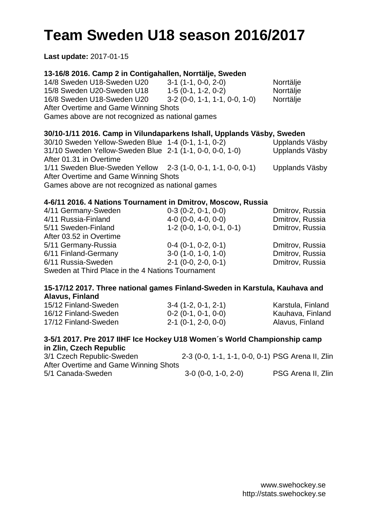# **Team Sweden U18 season 2016/2017**

**Last update:** 2017-01-15

## **13-16/8 2016. Camp 2 in Contigahallen, Norrtälje, Sweden**

14/8 Sweden U18-Sweden U20 3-1 (1-1, 0-0, 2-0) Norrtälje 15/8 Sweden U20-Sweden U18 1-5 (0-1, 1-2, 0-2) Norrtälje 16/8 Sweden U18-Sweden U20 3-2 (0-0, 1-1, 1-1, 0-0, 1-0) Norrtälje After Overtime and Game Winning Shots Games above are not recognized as national games

### **30/10-1/11 2016. Camp in Vilundaparkens Ishall, Upplands Väsby, Sweden**

| 30/10 Sweden Yellow-Sweden Blue 1-4 (0-1, 1-1, 0-2)          | Upplands Väsby |
|--------------------------------------------------------------|----------------|
| 31/10 Sweden Yellow-Sweden Blue 2-1 (1-1, 0-0, 0-0, 1-0)     | Upplands Väsby |
|                                                              |                |
| After 01.31 in Overtime                                      |                |
| 1/11 Sweden Blue-Sweden Yellow 2-3 (1-0, 0-1, 1-1, 0-0, 0-1) | Upplands Väsby |
| After Overtime and Game Winning Shots                        |                |
| Games above are not recognized as national games             |                |
|                                                              |                |

### **4-6/11 2016. 4 Nations Tournament in Dmitrov, Moscow, Russia**

| 4/11 Germany-Sweden                               | $0-3$ (0-2, 0-1, 0-0)      | Dmitrov, Russia |  |
|---------------------------------------------------|----------------------------|-----------------|--|
| 4/11 Russia-Finland                               | $4-0$ (0-0, 4-0, 0-0)      | Dmitrov, Russia |  |
| 5/11 Sweden-Finland                               | $1-2$ (0-0, 1-0, 0-1, 0-1) | Dmitrov, Russia |  |
| After 03.52 in Overtime                           |                            |                 |  |
| 5/11 Germany-Russia                               | $0-4$ (0-1, 0-2, 0-1)      | Dmitrov, Russia |  |
| 6/11 Finland-Germany                              | $3-0$ (1-0, 1-0, 1-0)      | Dmitrov, Russia |  |
| 6/11 Russia-Sweden                                | $2-1$ (0-0, 2-0, 0-1)      | Dmitrov, Russia |  |
| Sweden at Third Place in the 4 Nations Tournament |                            |                 |  |

### **15-17/12 2017. Three national games Finland-Sweden in Karstula, Kauhava and Alavus, Finland**

| 15/12 Finland-Sweden | $3-4$ (1-2, 0-1, 2-1) | Karstula, Finland |
|----------------------|-----------------------|-------------------|
| 16/12 Finland-Sweden | $0-2$ (0-1, 0-1, 0-0) | Kauhava, Finland  |
| 17/12 Finland-Sweden | $2-1$ (0-1, 2-0, 0-0) | Alavus, Finland   |

#### **3-5/1 2017. Pre 2017 IIHF Ice Hockey U18 Women´s World Championship camp in Zlin, Czech Republic**

| 3/1 Czech Republic-Sweden             | 2-3 (0-0, 1-1, 1-1, 0-0, 0-1) PSG Arena II, Zlin |                    |
|---------------------------------------|--------------------------------------------------|--------------------|
| After Overtime and Game Winning Shots |                                                  |                    |
| 5/1 Canada-Sweden                     | $3-0$ (0-0, 1-0, 2-0)                            | PSG Arena II, Zlin |